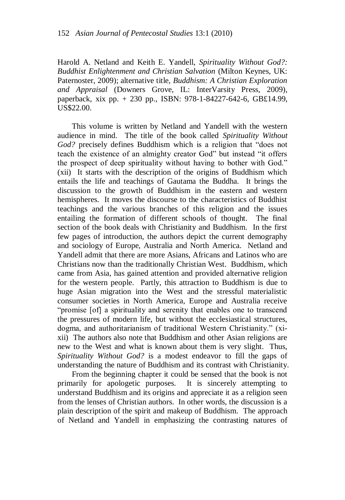Harold A. Netland and Keith E. Yandell, *Spirituality Without God?: Buddhist Enlightenment and Christian Salvation* (Milton Keynes, UK: Paternoster, 2009); alternative title, *Buddhism: A Christian Exploration and Appraisal* (Downers Grove, IL: InterVarsity Press, 2009), paperback, xix pp. + 230 pp., ISBN: 978-1-84227-642-6, GB£14.99, US\$22.00.

This volume is written by Netland and Yandell with the western audience in mind. The title of the book called *Spirituality Without God?* precisely defines Buddhism which is a religion that "does not teach the existence of an almighty creator God" but instead "it offers the prospect of deep spirituality without having to bother with God." (xii) It starts with the description of the origins of Buddhism which entails the life and teachings of Gautama the Buddha. It brings the discussion to the growth of Buddhism in the eastern and western hemispheres. It moves the discourse to the characteristics of Buddhist teachings and the various branches of this religion and the issues entailing the formation of different schools of thought. The final section of the book deals with Christianity and Buddhism. In the first few pages of introduction, the authors depict the current demography and sociology of Europe, Australia and North America. Netland and Yandell admit that there are more Asians, Africans and Latinos who are Christians now than the traditionally Christian West. Buddhism, which came from Asia, has gained attention and provided alternative religion for the western people. Partly, this attraction to Buddhism is due to huge Asian migration into the West and the stressful materialistic consumer societies in North America, Europe and Australia receive "promise [of] a spirituality and serenity that enables one to transcend the pressures of modern life, but without the ecclesiastical structures, dogma, and authoritarianism of traditional Western Christianity." (xixii) The authors also note that Buddhism and other Asian religions are new to the West and what is known about them is very slight. Thus, *Spirituality Without God?* is a modest endeavor to fill the gaps of understanding the nature of Buddhism and its contrast with Christianity.

From the beginning chapter it could be sensed that the book is not primarily for apologetic purposes. It is sincerely attempting to understand Buddhism and its origins and appreciate it as a religion seen from the lenses of Christian authors. In other words, the discussion is a plain description of the spirit and makeup of Buddhism. The approach of Netland and Yandell in emphasizing the contrasting natures of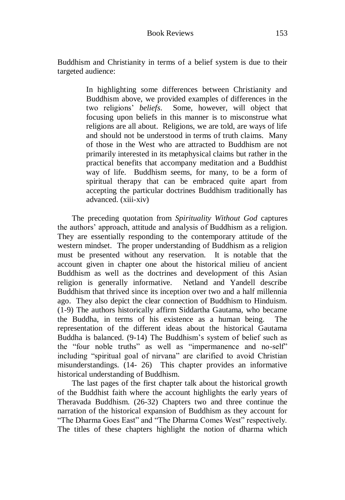Buddhism and Christianity in terms of a belief system is due to their targeted audience:

> In highlighting some differences between Christianity and Buddhism above, we provided examples of differences in the two religions' *beliefs*. Some, however, will object that focusing upon beliefs in this manner is to misconstrue what religions are all about. Religions, we are told, are ways of life and should not be understood in terms of truth claims. Many of those in the West who are attracted to Buddhism are not primarily interested in its metaphysical claims but rather in the practical benefits that accompany meditation and a Buddhist way of life. Buddhism seems, for many, to be a form of spiritual therapy that can be embraced quite apart from accepting the particular doctrines Buddhism traditionally has advanced. (xiii-xiv)

The preceding quotation from *Spirituality Without God* captures the authors' approach, attitude and analysis of Buddhism as a religion. They are essentially responding to the contemporary attitude of the western mindset. The proper understanding of Buddhism as a religion must be presented without any reservation. It is notable that the account given in chapter one about the historical milieu of ancient Buddhism as well as the doctrines and development of this Asian religion is generally informative. Netland and Yandell describe Buddhism that thrived since its inception over two and a half millennia ago. They also depict the clear connection of Buddhism to Hinduism. (1-9) The authors historically affirm Siddartha Gautama, who became the Buddha, in terms of his existence as a human being. The representation of the different ideas about the historical Gautama Buddha is balanced. (9-14) The Buddhism's system of belief such as the "four noble truths" as well as "impermanence and no-self" including "spiritual goal of nirvana" are clarified to avoid Christian misunderstandings. (14- 26) This chapter provides an informative historical understanding of Buddhism.

The last pages of the first chapter talk about the historical growth of the Buddhist faith where the account highlights the early years of Theravada Buddhism. (26-32) Chapters two and three continue the narration of the historical expansion of Buddhism as they account for "The Dharma Goes East" and "The Dharma Comes West" respectively. The titles of these chapters highlight the notion of dharma which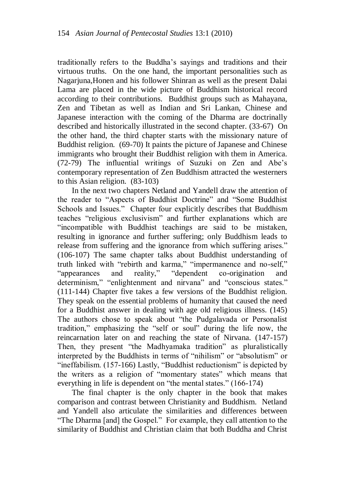traditionally refers to the Buddha's sayings and traditions and their virtuous truths. On the one hand, the important personalities such as Nagarjuna,Honen and his follower Shinran as well as the present Dalai Lama are placed in the wide picture of Buddhism historical record according to their contributions. Buddhist groups such as Mahayana, Zen and Tibetan as well as Indian and Sri Lankan, Chinese and Japanese interaction with the coming of the Dharma are doctrinally described and historically illustrated in the second chapter. (33-67) On the other hand, the third chapter starts with the missionary nature of Buddhist religion. (69-70) It paints the picture of Japanese and Chinese immigrants who brought their Buddhist religion with them in America. (72-79) The influential writings of Suzuki on Zen and Abe's contemporary representation of Zen Buddhism attracted the westerners to this Asian religion. (83-103)

In the next two chapters Netland and Yandell draw the attention of the reader to "Aspects of Buddhist Doctrine" and "Some Buddhist Schools and Issues." Chapter four explicitly describes that Buddhism teaches "religious exclusivism" and further explanations which are "incompatible with Buddhist teachings are said to be mistaken, resulting in ignorance and further suffering; only Buddhism leads to release from suffering and the ignorance from which suffering arises." (106-107) The same chapter talks about Buddhist understanding of truth linked with "rebirth and karma," "impermanence and no-self," "appearances and reality," "dependent co-origination and determinism," "enlightenment and nirvana" and "conscious states." (111-144) Chapter five takes a few versions of the Buddhist religion. They speak on the essential problems of humanity that caused the need for a Buddhist answer in dealing with age old religious illness. (145) The authors chose to speak about "the Pudgalavada or Personalist tradition," emphasizing the "self or soul" during the life now, the reincarnation later on and reaching the state of Nirvana. (147-157) Then, they present "the Madhyamaka tradition" as pluralistically interpreted by the Buddhists in terms of "nihilism" or "absolutism" or "ineffabilism. (157-166) Lastly, "Buddhist reductionism" is depicted by the writers as a religion of "momentary states" which means that everything in life is dependent on "the mental states." (166-174)

The final chapter is the only chapter in the book that makes comparison and contrast between Christianity and Buddhism. Netland and Yandell also articulate the similarities and differences between "The Dharma [and] the Gospel." For example, they call attention to the similarity of Buddhist and Christian claim that both Buddha and Christ